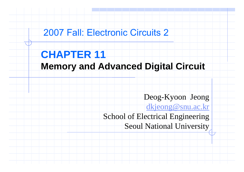## 2007 Fall: Electronic Circuits 2

# **CHAPTER 11**

## **Memory and Advanced Digital Circuit**

Deog-Kyoon Jeong

<u>dkjeong@snu.ac.kr</u>

School of Electrical Engineering Seoul National University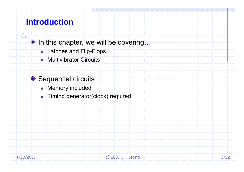## **Introduction**

- ◆ In this chapter, we will be covering...
	- Latches and Flip-Flops
	- **Nultivibrator Circuits**
- ◆ Sequential circuits
	- $\blacksquare$  Memory included
	- **Timing generator(clock) required**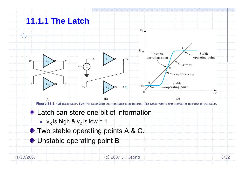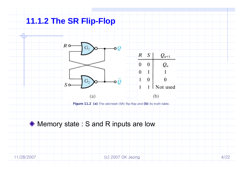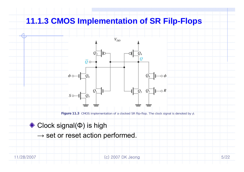### **11.1.3 CMOS Implementation of SR Filp-Flops**



**Figure 11.3** CMOS implementation of a clocked SR flip-flop. The clock signal is denoted by φ.

#### Clock signal( Φ) is high

 $\rightarrow$  set or reset action performed.

11/28/2007 (c) 2007 DK Jeong 5/22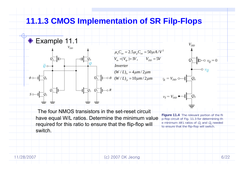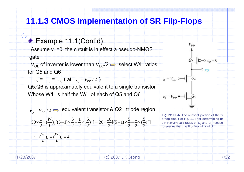## **11.1.3 CMOS Implementation of SR Filp-Flops**

#### ◆ Example 11.1(Cont'd)

Assume  $\rm v_{\rm Q}$ =0, the circuit is in effect a pseudo-NMOS gate

 $V_{\text{OL}}$  of inverter is lower than  $V_{\text{DD}}/2 \implies$  select W/L ratios for Q5 and Q6

 $I_{Q2} = I_{Q5} = I_{Q6}$  ( at  $v_{\overline{Q}} = V_{DD}/2$  )

 $\left(\frac{W}{L}\right)_5 = \left(\frac{W}{L}\right)_6 = 4$  $\therefore$   $(-)_{\epsilon} = (-)_{\epsilon} =$ 

Q5,Q6 is approximately equivalent to a single transistor

Whose W/L is half the W/L of each of Q5 and Q6

 $v_{\overline{\mathcal{Q}}} = V_{\mathit{DD}}/2 \implies$  equivalent transistor & Q2 : triode region

$$
50 \times \frac{1}{2} \times \left(\frac{W}{L}\right)_{5}[(5-1) \times \frac{5}{2} - \frac{1}{2} \times \left(\frac{5}{2}\right)^{2}] = 20 \times \frac{10}{2}[(5-1) \times \frac{5}{2} - \frac{1}{2} \times \left(\frac{5}{2}\right)^{2}]
$$

**Figure 11.4** The relevant portion of the fli p-flop circuit of Fig. 11.3 for determining th e minimum  $W/L$  ratios of  $Q_5$  and  $Q_6$  needed to ensure that the flip-flop will switch.

 $V_{DD}$ 

 $v_{\phi} = V_{DD} \circ \rightarrow \Box Q_6$ 

 $v_S = V_{DD}$   $\leftarrow$   $\leftarrow$   $Q_5$ 

11/28/2007 (c) 2007 DK Jeong 7/22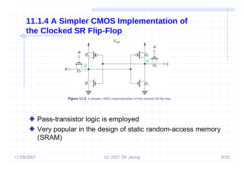# **11.1.4 A Simpler CMOS Implementation of the Clocked SR Flip-Flop**



 $V_{DD}$ 

**Figure 11.5** A simpler CMOS implementation of the clocked SR flip-flop.

#### ◆ Pass-transistor logic is employed

◆ Very popular in the design of static random-access memory (SRAM)

11/28/2007 (c) 2007 DK Jeong 8/22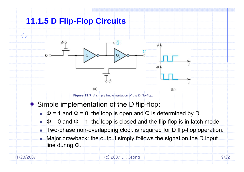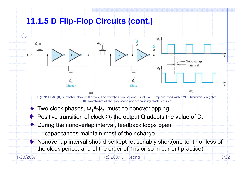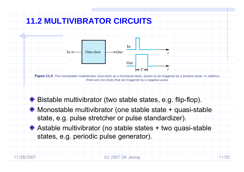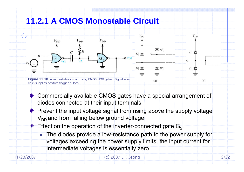### **11.2.1 A CMOS Monostable Circuit**



- Commercially available CMOS gates have a special arrangement of diodes connected at their in put terminals
- ◆ Prevent the input voltage signal from rising above the supply voltage  $V_{DD}$  and from falling below ground voltage.
	- Effect on the operation of the inverter-connected gate  $\mathsf{G}_2$ .
		- П The diodes provide a low-resistance path to the power supply for voltages exceeding the power supply limits, the input current for intermediate voltages is essentially zero.

| 11/28/2007 |  |  |  |  |  |  |  |
|------------|--|--|--|--|--|--|--|
|------------|--|--|--|--|--|--|--|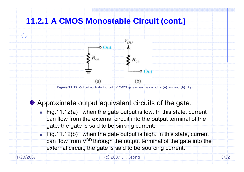

11/28/2007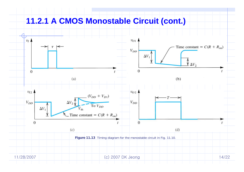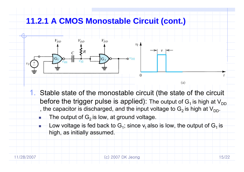

- before the trigger pulse is applied): The output of  $G_1$  is high at  $V_{DD}$ , the capacitor is discharged, and the input voltage to  $G_2$  is high at  $V_{DD}$ .
	- The output of  $G_2$  is low, at ground voltage.
- **Low** voltage is fed back to G<sub>1</sub>; since v<sub>i</sub> also is low, the output of G<sub>1</sub> is high, as initially assumed.

П

П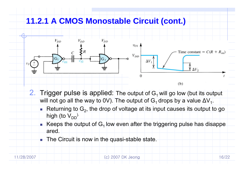

- 2.Trigger pulse is applied: The output of  $G_1$  will go low (but its output will not go all the way to 0V). The output of  $\mathsf{G}_1$  drops by a value  $\Delta\mathsf{V}_1$ .
	- Returning to  $G_2$ , the drop of voltage at its input causes its output to go high (to  $V_{DD}$ ).
	- **Keeps the output of G<sub>1</sub> low even after the triggering pulse has disappe** ared.
		- The Circuit is now in the quasi-stable state.

П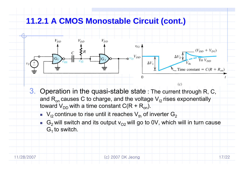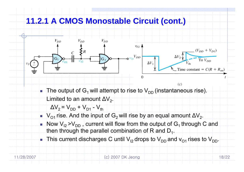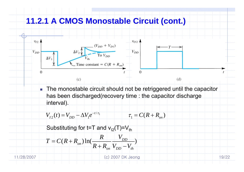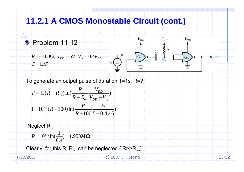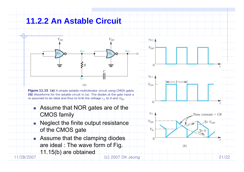